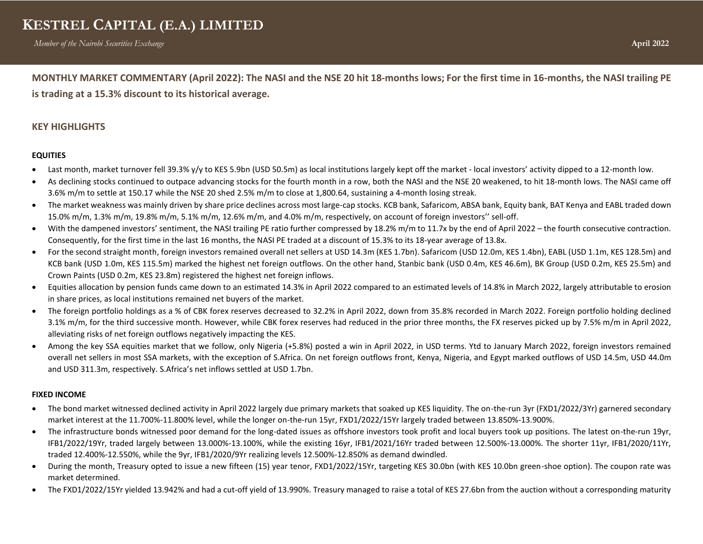**MONTHLY MARKET COMMENTARY (April 2022): The NASI and the NSE 20 hit 18-months lows; For the first time in 16-months, the NASI trailing PE is trading at a 15.3% discount to its historical average.** 

## **KEY HIGHLIGHTS**

### **EQUITIES**

- Last month, market turnover fell 39.3% y/y to KES 5.9bn (USD 50.5m) as local institutions largely kept off the market local investors' activity dipped to a 12-month low.
- As declining stocks continued to outpace advancing stocks for the fourth month in a row, both the NASI and the NSE 20 weakened, to hit 18-month lows. The NASI came off 3.6% m/m to settle at 150.17 while the NSE 20 shed 2.5% m/m to close at 1,800.64, sustaining a 4-month losing streak.
- The market weakness was mainly driven by share price declines across most large-cap stocks. KCB bank, Safaricom, ABSA bank, Equity bank, BAT Kenya and EABL traded down 15.0% m/m, 1.3% m/m, 19.8% m/m, 5.1% m/m, 12.6% m/m, and 4.0% m/m, respectively, on account of foreign investors'' sell-off.
- With the dampened investors' sentiment, the NASI trailing PE ratio further compressed by 18.2% m/m to 11.7x by the end of April 2022 the fourth consecutive contraction. Consequently, for the first time in the last 16 months, the NASI PE traded at a discount of 15.3% to its 18-year average of 13.8x.
- For the second straight month, foreign investors remained overall net sellers at USD 14.3m (KES 1.7bn). Safaricom (USD 12.0m, KES 1.4bn), EABL (USD 1.1m, KES 128.5m) and KCB bank (USD 1.0m, KES 115.5m) marked the highest net foreign outflows. On the other hand, Stanbic bank (USD 0.4m, KES 46.6m), BK Group (USD 0.2m, KES 25.5m) and Crown Paints (USD 0.2m, KES 23.8m) registered the highest net foreign inflows.
- Equities allocation by pension funds came down to an estimated 14.3% in April 2022 compared to an estimated levels of 14.8% in March 2022, largely attributable to erosion in share prices, as local institutions remained net buyers of the market.
- The foreign portfolio holdings as a % of CBK forex reserves decreased to 32.2% in April 2022, down from 35.8% recorded in March 2022. Foreign portfolio holding declined 3.1% m/m, for the third successive month. However, while CBK forex reserves had reduced in the prior three months, the FX reserves picked up by 7.5% m/m in April 2022, alleviating risks of net foreign outflows negatively impacting the KES.
- Among the key SSA equities market that we follow, only Nigeria (+5.8%) posted a win in April 2022, in USD terms. Ytd to January March 2022, foreign investors remained overall net sellers in most SSA markets, with the exception of S.Africa. On net foreign outflows front, Kenya, Nigeria, and Egypt marked outflows of USD 14.5m, USD 44.0m and USD 311.3m, respectively. S.Africa's net inflows settled at USD 1.7bn.

### **FIXED INCOME**

- The bond market witnessed declined activity in April 2022 largely due primary markets that soaked up KES liquidity. The on-the-run 3yr (FXD1/2022/3Yr) garnered secondary market interest at the 11.700%-11.800% level, while the longer on-the-run 15yr, FXD1/2022/15Yr largely traded between 13.850%-13.900%.
- The infrastructure bonds witnessed poor demand for the long-dated issues as offshore investors took profit and local buyers took up positions. The latest on-the-run 19yr, IFB1/2022/19Yr, traded largely between 13.000%-13.100%, while the existing 16yr, IFB1/2021/16Yr traded between 12.500%-13.000%. The shorter 11yr, IFB1/2020/11Yr, traded 12.400%-12.550%, while the 9yr, IFB1/2020/9Yr realizing levels 12.500%-12.850% as demand dwindled.
- During the month, Treasury opted to issue a new fifteen (15) year tenor, FXD1/2022/15Yr, targeting KES 30.0bn (with KES 10.0bn green-shoe option). The coupon rate was market determined.
- The FXD1/2022/15Yr yielded 13.942% and had a cut-off yield of 13.990%. Treasury managed to raise a total of KES 27.6bn from the auction without a corresponding maturity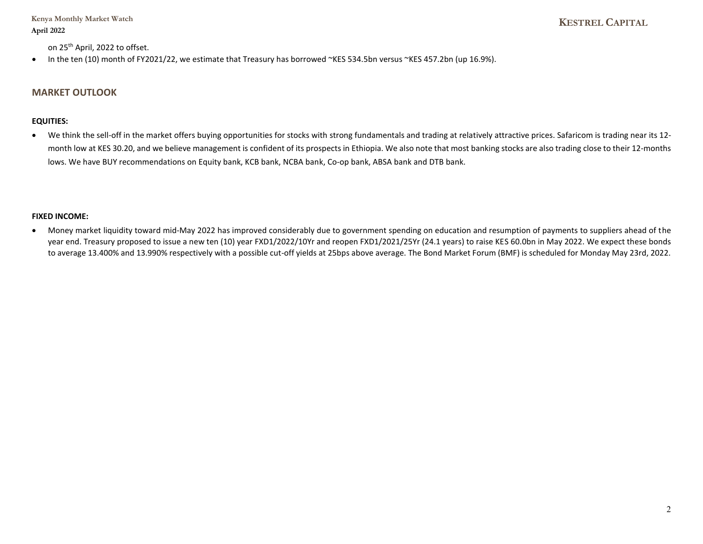**Kenya Monthly Market Watch April 2022**

on 25<sup>th</sup> April, 2022 to offset.

• In the ten (10) month of FY2021/22, we estimate that Treasury has borrowed ~KES 534.5bn versus ~KES 457.2bn (up 16.9%).

## **MARKET OUTLOOK**

### **EQUITIES:**

• We think the sell-off in the market offers buying opportunities for stocks with strong fundamentals and trading at relatively attractive prices. Safaricom is trading near its 12 month low at KES 30.20, and we believe management is confident of its prospects in Ethiopia. We also note that most banking stocks are also trading close to their 12-months lows. We have BUY recommendations on Equity bank, KCB bank, NCBA bank, Co-op bank, ABSA bank and DTB bank.

### **FIXED INCOME:**

• Money market liquidity toward mid-May 2022 has improved considerably due to government spending on education and resumption of payments to suppliers ahead of the year end. Treasury proposed to issue a new ten (10) year FXD1/2022/10Yr and reopen FXD1/2021/25Yr (24.1 years) to raise KES 60.0bn in May 2022. We expect these bonds to average 13.400% and 13.990% respectively with a possible cut-off yields at 25bps above average. The Bond Market Forum (BMF) is scheduled for Monday May 23rd, 2022.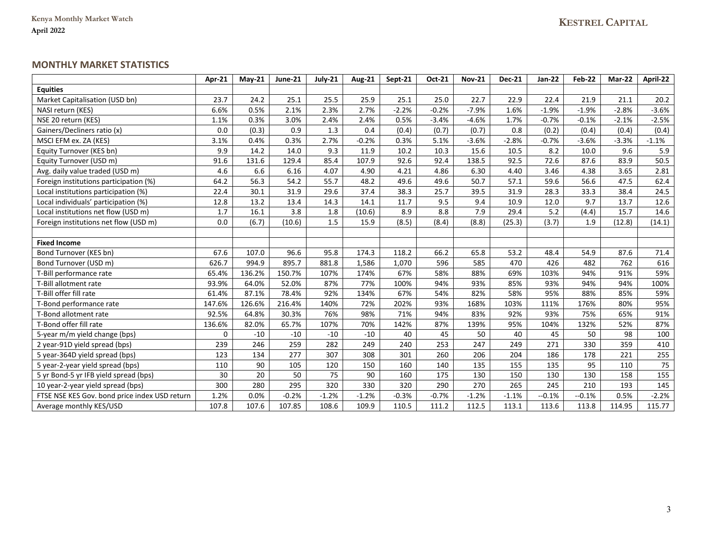## **MONTHLY MARKET STATISTICS**

|                                               | Apr-21 | $Mav-21$ | June-21 | July-21 | <b>Aug-21</b> | Sept-21 | Oct-21  | <b>Nov-21</b> | <b>Dec-21</b> | <b>Jan-22</b> | <b>Feb-22</b>    | Mar-22  | April-22        |
|-----------------------------------------------|--------|----------|---------|---------|---------------|---------|---------|---------------|---------------|---------------|------------------|---------|-----------------|
| <b>Equities</b>                               |        |          |         |         |               |         |         |               |               |               |                  |         |                 |
| Market Capitalisation (USD bn)                | 23.7   | 24.2     | 25.1    | 25.5    | 25.9          | 25.1    | 25.0    | 22.7          | 22.9          | 22.4          | 21.9             | 21.1    | 20.2            |
| NASI return (KES)                             | 6.6%   | 0.5%     | 2.1%    | 2.3%    | 2.7%          | $-2.2%$ | $-0.2%$ | $-7.9%$       | 1.6%          | $-1.9%$       | $-1.9%$          | $-2.8%$ | $-3.6%$         |
| NSE 20 return (KES)                           | 1.1%   | 0.3%     | 3.0%    | 2.4%    | 2.4%          | 0.5%    | $-3.4%$ | $-4.6%$       | 1.7%          | $-0.7%$       | $-0.1%$          | $-2.1%$ | $-2.5%$         |
| Gainers/Decliners ratio (x)                   | 0.0    | (0.3)    | 0.9     | 1.3     | 0.4           | (0.4)   | (0.7)   | (0.7)         | 0.8           | (0.2)         | (0.4)            | (0.4)   | (0.4)           |
| MSCI EFM ex. ZA (KES)                         | 3.1%   | 0.4%     | 0.3%    | 2.7%    | $-0.2%$       | 0.3%    | 5.1%    | $-3.6%$       | $-2.8%$       | $-0.7%$       | $-3.6%$          | $-3.3%$ | $-1.1%$         |
| Equity Turnover (KES bn)                      | 9.9    | 14.2     | 14.0    | 9.3     | 11.9          | 10.2    | 10.3    | 15.6          | 10.5          | 8.2           | 10.0             | 9.6     | 5.9             |
| Equity Turnover (USD m)                       | 91.6   | 131.6    | 129.4   | 85.4    | 107.9         | 92.6    | 92.4    | 138.5         | 92.5          | 72.6          | 87.6             | 83.9    | 50.5            |
| Avg. daily value traded (USD m)               | 4.6    | 6.6      | 6.16    | 4.07    | 4.90          | 4.21    | 4.86    | 6.30          | 4.40          | 3.46          | 4.38             | 3.65    | 2.81            |
| Foreign institutions participation (%)        | 64.2   | 56.3     | 54.2    | 55.7    | 48.2          | 49.6    | 49.6    | 50.7          | 57.1          | 59.6          | 56.6             | 47.5    | 62.4            |
| Local institutions participation (%)          | 22.4   | 30.1     | 31.9    | 29.6    | 37.4          | 38.3    | 25.7    | 39.5          | 31.9          | 28.3          | 33.3             | 38.4    | 24.5            |
| Local individuals' participation (%)          | 12.8   | 13.2     | 13.4    | 14.3    | 14.1          | 11.7    | 9.5     | 9.4           | 10.9          | 12.0          | 9.7              | 13.7    | 12.6            |
| Local institutions net flow (USD m)           | 1.7    | 16.1     | 3.8     | 1.8     | (10.6)        | 8.9     | 8.8     | 7.9           | 29.4          | $5.2$         | (4.4)            | 15.7    | 14.6            |
| Foreign institutions net flow (USD m)         | 0.0    | (6.7)    | (10.6)  | 1.5     | 15.9          | (8.5)   | (8.4)   | (8.8)         | (25.3)        | (3.7)         | 1.9              | (12.8)  | (14.1)          |
|                                               |        |          |         |         |               |         |         |               |               |               |                  |         |                 |
| <b>Fixed Income</b>                           |        |          |         |         |               |         |         |               |               |               |                  |         |                 |
| Bond Turnover (KES bn)                        | 67.6   | 107.0    | 96.6    | 95.8    | 174.3         | 118.2   | 66.2    | 65.8          | 53.2          | 48.4          | 54.9             | 87.6    | 71.4            |
| Bond Turnover (USD m)                         | 626.7  | 994.9    | 895.7   | 881.8   | 1,586         | 1,070   | 596     | 585           | 470           | 426           | 482              | 762     | 616             |
| T-Bill performance rate                       | 65.4%  | 136.2%   | 150.7%  | 107%    | 174%          | 67%     | 58%     | 88%           | 69%           | 103%          | 94%              | 91%     | 59%             |
| T-Bill allotment rate                         | 93.9%  | 64.0%    | 52.0%   | 87%     | 77%           | 100%    | 94%     | 93%           | 85%           | 93%           | 94%              | 94%     | 100%            |
| T-Bill offer fill rate                        | 61.4%  | 87.1%    | 78.4%   | 92%     | 134%          | 67%     | 54%     | 82%           | 58%           | 95%           | 88%              | 85%     | 59%             |
| T-Bond performance rate                       | 147.6% | 126.6%   | 216.4%  | 140%    | 72%           | 202%    | 93%     | 168%          | 103%          | 111%          | 176%             | 80%     | 95%             |
| T-Bond allotment rate                         | 92.5%  | 64.8%    | 30.3%   | 76%     | 98%           | 71%     | 94%     | 83%           | 92%           | 93%           | 75%              | 65%     | 91%             |
| T-Bond offer fill rate                        | 136.6% | 82.0%    | 65.7%   | 107%    | 70%           | 142%    | 87%     | 139%          | 95%           | 104%          | 132%             | 52%     | 87%             |
| 5-year m/m yield change (bps)                 | 0      | $-10$    | $-10$   | $-10$   | $-10$         | 40      | 45      | 50            | 40            | 45            | 50               | 98      | 100             |
| 2 year-91D yield spread (bps)                 | 239    | 246      | 259     | 282     | 249           | 240     | 253     | 247           | 249           | 271           | 330              | 359     | 410             |
| 5 year-364D yield spread (bps)                | 123    | 134      | 277     | 307     | 308           | 301     | 260     | 206           | 204           | 186           | 178              | 221     | 255             |
| 5 year-2-year yield spread (bps)              | 110    | 90       | 105     | 120     | 150           | 160     | 140     | 135           | 155           | 135           | 95               | 110     | $\overline{75}$ |
| 5 yr Bond-5 yr IFB yield spread (bps)         | 30     | 20       | 50      | 75      | 90            | 160     | 175     | 130           | 150           | 130           | 130              | 158     | 155             |
| 10 year-2-year yield spread (bps)             | 300    | 280      | 295     | 320     | 330           | 320     | 290     | 270           | 265           | 245           | $\overline{210}$ | 193     | 145             |
| FTSE NSE KES Gov. bond price index USD return | 1.2%   | 0.0%     | $-0.2%$ | $-1.2%$ | $-1.2%$       | $-0.3%$ | $-0.7%$ | $-1.2%$       | $-1.1%$       | $-0.1%$       | $-0.1%$          | 0.5%    | $-2.2%$         |
| Average monthly KES/USD                       | 107.8  | 107.6    | 107.85  | 108.6   | 109.9         | 110.5   | 111.2   | 112.5         | 113.1         | 113.6         | 113.8            | 114.95  | 115.77          |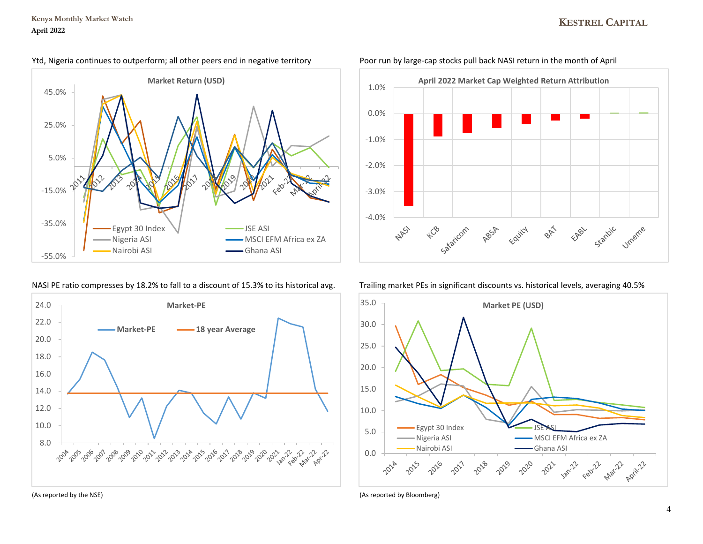# **KESTREL CAPITAL**



### Ytd, Nigeria continues to outperform; all other peers end in negative territory Poor run by large-cap stocks pull back NASI return in the month of April

### NASI PE ratio compresses by 18.2% to fall to a discount of 15.3% to its historical avg. Trailing market PEs in significant discounts vs. historical levels, averaging 40.5%





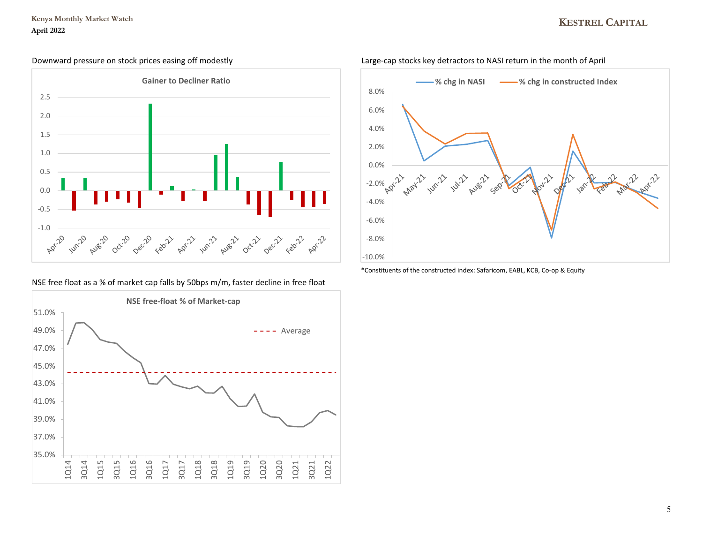### **Kenya Monthly Market Watch April 2022**

# **KESTREL CAPITAL**



NSE free float as a % of market cap falls by 50bps m/m, faster decline in free float





\*Constituents of the constructed index: Safaricom, EABL, KCB, Co-op & Equity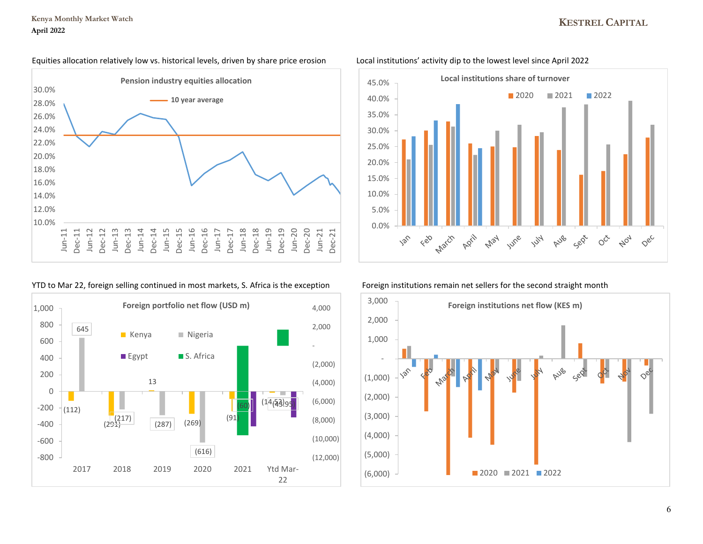# **KESTREL CAPITAL**

### Equities allocation relatively low vs. historical levels, driven by share price erosion Local institutions' activity dip to the lowest level since April 2022



## YTD to Mar 22, foreign selling continued in most markets, S. Africa is the exception Foreign institutions remain net sellers for the second straight month





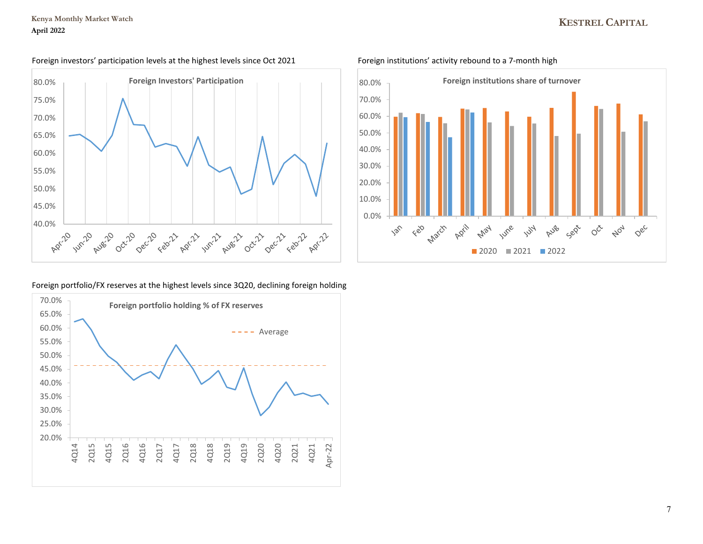

### Foreign investors' participation levels at the highest levels since Oct 2021 Foreign institutions' activity rebound to a 7-month high



### Foreign portfolio/FX reserves at the highest levels since 3Q20, declining foreign holding

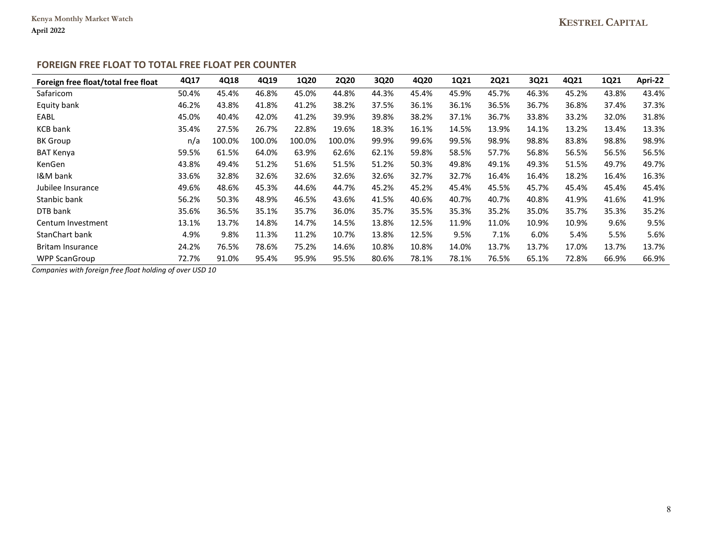## **FOREIGN FREE FLOAT TO TOTAL FREE FLOAT PER COUNTER**

| Foreign free float/total free float | 4Q17  | 4Q18   | 4Q19   | <b>1Q20</b> | <b>2Q20</b> | 3Q20  | 4Q20  | 1Q21  | <b>2Q21</b> | 3Q21  | 4Q21  | <b>1Q21</b> | Apri-22 |
|-------------------------------------|-------|--------|--------|-------------|-------------|-------|-------|-------|-------------|-------|-------|-------------|---------|
| Safaricom                           | 50.4% | 45.4%  | 46.8%  | 45.0%       | 44.8%       | 44.3% | 45.4% | 45.9% | 45.7%       | 46.3% | 45.2% | 43.8%       | 43.4%   |
| Equity bank                         | 46.2% | 43.8%  | 41.8%  | 41.2%       | 38.2%       | 37.5% | 36.1% | 36.1% | 36.5%       | 36.7% | 36.8% | 37.4%       | 37.3%   |
| EABL                                | 45.0% | 40.4%  | 42.0%  | 41.2%       | 39.9%       | 39.8% | 38.2% | 37.1% | 36.7%       | 33.8% | 33.2% | 32.0%       | 31.8%   |
| <b>KCB</b> bank                     | 35.4% | 27.5%  | 26.7%  | 22.8%       | 19.6%       | 18.3% | 16.1% | 14.5% | 13.9%       | 14.1% | 13.2% | 13.4%       | 13.3%   |
| <b>BK</b> Group                     | n/a   | 100.0% | 100.0% | 100.0%      | 100.0%      | 99.9% | 99.6% | 99.5% | 98.9%       | 98.8% | 83.8% | 98.8%       | 98.9%   |
| <b>BAT Kenya</b>                    | 59.5% | 61.5%  | 64.0%  | 63.9%       | 62.6%       | 62.1% | 59.8% | 58.5% | 57.7%       | 56.8% | 56.5% | 56.5%       | 56.5%   |
| KenGen                              | 43.8% | 49.4%  | 51.2%  | 51.6%       | 51.5%       | 51.2% | 50.3% | 49.8% | 49.1%       | 49.3% | 51.5% | 49.7%       | 49.7%   |
| I&M bank                            | 33.6% | 32.8%  | 32.6%  | 32.6%       | 32.6%       | 32.6% | 32.7% | 32.7% | 16.4%       | 16.4% | 18.2% | 16.4%       | 16.3%   |
| Jubilee Insurance                   | 49.6% | 48.6%  | 45.3%  | 44.6%       | 44.7%       | 45.2% | 45.2% | 45.4% | 45.5%       | 45.7% | 45.4% | 45.4%       | 45.4%   |
| Stanbic bank                        | 56.2% | 50.3%  | 48.9%  | 46.5%       | 43.6%       | 41.5% | 40.6% | 40.7% | 40.7%       | 40.8% | 41.9% | 41.6%       | 41.9%   |
| DTB bank                            | 35.6% | 36.5%  | 35.1%  | 35.7%       | 36.0%       | 35.7% | 35.5% | 35.3% | 35.2%       | 35.0% | 35.7% | 35.3%       | 35.2%   |
| Centum Investment                   | 13.1% | 13.7%  | 14.8%  | 14.7%       | 14.5%       | 13.8% | 12.5% | 11.9% | 11.0%       | 10.9% | 10.9% | 9.6%        | 9.5%    |
| <b>StanChart bank</b>               | 4.9%  | 9.8%   | 11.3%  | 11.2%       | 10.7%       | 13.8% | 12.5% | 9.5%  | 7.1%        | 6.0%  | 5.4%  | 5.5%        | 5.6%    |
| <b>Britam Insurance</b>             | 24.2% | 76.5%  | 78.6%  | 75.2%       | 14.6%       | 10.8% | 10.8% | 14.0% | 13.7%       | 13.7% | 17.0% | 13.7%       | 13.7%   |
| <b>WPP ScanGroup</b>                | 72.7% | 91.0%  | 95.4%  | 95.9%       | 95.5%       | 80.6% | 78.1% | 78.1% | 76.5%       | 65.1% | 72.8% | 66.9%       | 66.9%   |

*Companies with foreign free float holding of over USD 10*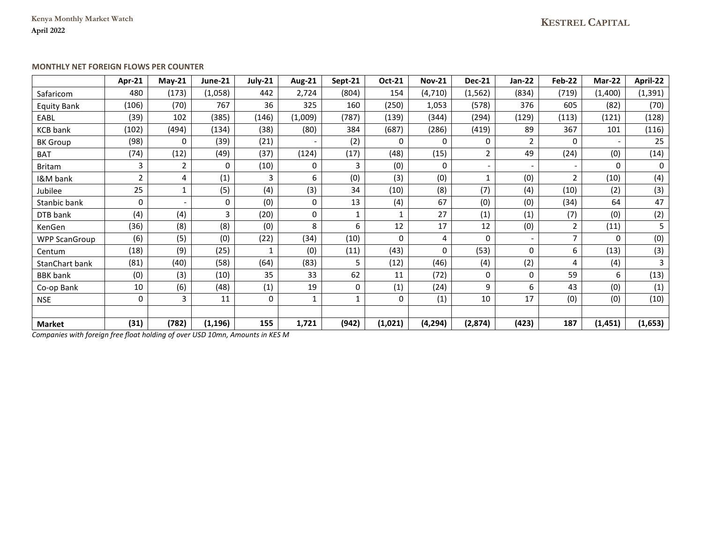**Kenya Monthly Market Watch April 2022**

## **MONTHLY NET FOREIGN FLOWS PER COUNTER**

|                      | Apr-21         | $Mav-21$                 | June-21  | July-21 | <b>Aug-21</b> | Sept-21      | Oct-21       | <b>Nov-21</b> | <b>Dec-21</b>            | Jan-22         | Feb-22         | <b>Mar-22</b> | April-22    |
|----------------------|----------------|--------------------------|----------|---------|---------------|--------------|--------------|---------------|--------------------------|----------------|----------------|---------------|-------------|
| Safaricom            | 480            | (173)                    | (1,058)  | 442     | 2,724         | (804)        | 154          | (4, 710)      | (1, 562)                 | (834)          | (719)          | (1,400)       | (1, 391)    |
| <b>Equity Bank</b>   | (106)          | (70)                     | 767      | 36      | 325           | 160          | (250)        | 1,053         | (578)                    | 376            | 605            | (82)          | (70)        |
| EABL                 | (39)           | 102                      | (385)    | (146)   | (1,009)       | (787)        | (139)        | (344)         | (294)                    | (129)          | (113)          | (121)         | (128)       |
| <b>KCB</b> bank      | (102)          | (494)                    | (134)    | (38)    | (80)          | 384          | (687)        | (286)         | (419)                    | 89             | 367            | 101           | (116)       |
| <b>BK Group</b>      | (98)           | $\Omega$                 | (39)     | (21)    |               | (2)          | 0            | 0             | 0                        | $\overline{2}$ | $\mathbf{0}$   |               | 25          |
| <b>BAT</b>           | (74)           | (12)                     | (49)     | (37)    | (124)         | (17)         | (48)         | (15)          | $\overline{2}$           | 49             | (24)           | (0)           | (14)        |
| <b>Britam</b>        | 3              | $\overline{2}$           | 0        | (10)    | $\mathbf 0$   | 3            | (0)          | 0             | $\overline{\phantom{a}}$ |                |                | $\Omega$      | $\mathbf 0$ |
| <b>I&amp;M</b> bank  | $\overline{2}$ | 4                        | (1)      | 3       | 6             | (0)          | (3)          | (0)           | $\mathbf{1}$             | (0)            | $\overline{2}$ | (10)          | (4)         |
| Jubilee              | 25             |                          | (5)      | (4)     | (3)           | 34           | (10)         | (8)           | (7)                      | (4)            | (10)           | (2)           | (3)         |
| Stanbic bank         | 0              | $\overline{\phantom{0}}$ | 0        | (0)     | $\mathbf 0$   | 13           | (4)          | 67            | (0)                      | (0)            | (34)           | 64            | 47          |
| DTB bank             | (4)            | (4)                      | 3        | (20)    | 0             | $\mathbf{1}$ | $\mathbf{1}$ | 27            | (1)                      | (1)            | (7)            | (0)           | (2)         |
| KenGen               | (36)           | (8)                      | (8)      | (0)     | 8             | 6            | 12           | 17            | 12                       | (0)            | 2              | (11)          | 5           |
| <b>WPP ScanGroup</b> | (6)            | (5)                      | (0)      | (22)    | (34)          | (10)         | $\mathbf 0$  | 4             | 0                        |                | $\overline{7}$ | $\Omega$      | (0)         |
| Centum               | (18)           | (9)                      | (25)     |         | (0)           | (11)         | (43)         | 0             | (53)                     | 0              | 6              | (13)          | (3)         |
| StanChart bank       | (81)           | (40)                     | (58)     | (64)    | (83)          | 5            | (12)         | (46)          | (4)                      | (2)            | 4              | (4)           | 3           |
| <b>BBK</b> bank      | (0)            | (3)                      | (10)     | 35      | 33            | 62           | 11           | (72)          | 0                        | 0              | 59             | 6             | (13)        |
| Co-op Bank           | 10             | (6)                      | (48)     | (1)     | 19            | 0            | (1)          | (24)          | 9                        | 6              | 43             | (0)           | (1)         |
| <b>NSE</b>           | 0              | 3                        | 11       | 0       |               | $\mathbf{1}$ | 0            | (1)           | 10                       | 17             | (0)            | (0)           | (10)        |
|                      |                |                          |          |         |               |              |              |               |                          |                |                |               |             |
| <b>Market</b>        | (31)           | (782)                    | (1, 196) | 155     | 1,721         | (942)        | (1,021)      | (4, 294)      | (2,874)                  | (423)          | 187            | (1, 451)      | (1,653)     |

*Companies with foreign free float holding of over USD 10mn, Amounts in KES M*